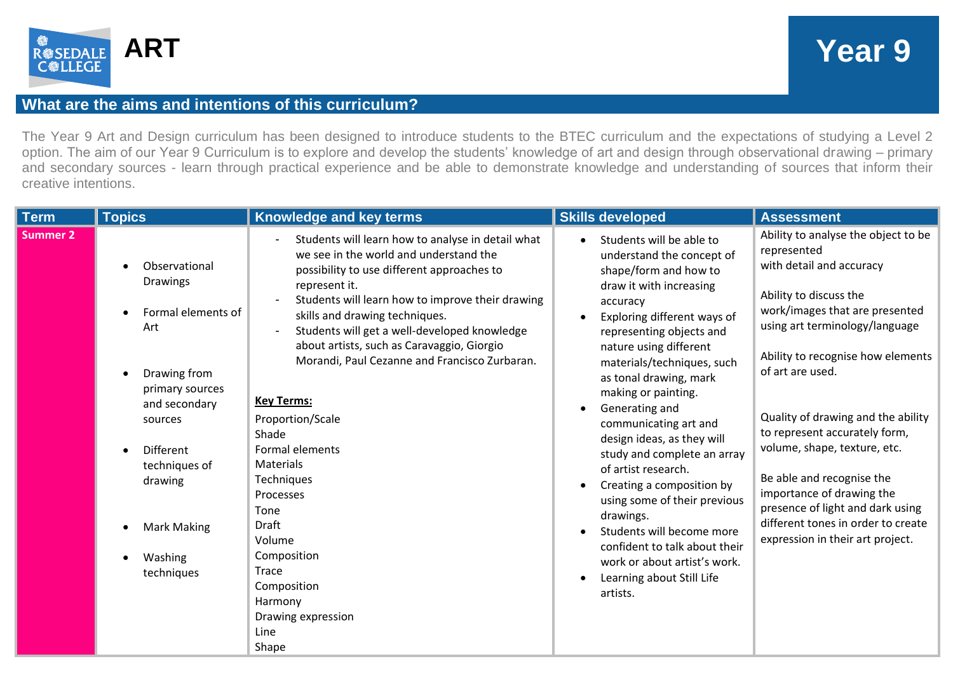

## **ART Year 9**

## **What are the aims and intentions of this curriculum?**

The Year 9 Art and Design curriculum has been designed to introduce students to the BTEC curriculum and the expectations of studying a Level 2 option. The aim of our Year 9 Curriculum is to explore and develop the students' knowledge of art and design through observational drawing – primary and secondary sources - learn through practical experience and be able to demonstrate knowledge and understanding of sources that inform their creative intentions.

| <b>Term</b>     | <b>Topics</b>                                                                                                                                                                                                               | <b>Knowledge and key terms</b>                                                                                                                                                                                                                                                                                                                                                                                                                                                                                                                                                                                                   | <b>Skills developed</b>                                                                                                                                                                                                                                                                                                                                                                                                                                                                                                                                                                                                                   | <b>Assessment</b>                                                                                                                                                                                                                                                                                                                                                                                                                                                                                                    |
|-----------------|-----------------------------------------------------------------------------------------------------------------------------------------------------------------------------------------------------------------------------|----------------------------------------------------------------------------------------------------------------------------------------------------------------------------------------------------------------------------------------------------------------------------------------------------------------------------------------------------------------------------------------------------------------------------------------------------------------------------------------------------------------------------------------------------------------------------------------------------------------------------------|-------------------------------------------------------------------------------------------------------------------------------------------------------------------------------------------------------------------------------------------------------------------------------------------------------------------------------------------------------------------------------------------------------------------------------------------------------------------------------------------------------------------------------------------------------------------------------------------------------------------------------------------|----------------------------------------------------------------------------------------------------------------------------------------------------------------------------------------------------------------------------------------------------------------------------------------------------------------------------------------------------------------------------------------------------------------------------------------------------------------------------------------------------------------------|
| <b>Summer 2</b> | Observational<br><b>Drawings</b><br>Formal elements of<br>Art<br>Drawing from<br>primary sources<br>and secondary<br>sources<br><b>Different</b><br>techniques of<br>drawing<br><b>Mark Making</b><br>Washing<br>techniques | Students will learn how to analyse in detail what<br>we see in the world and understand the<br>possibility to use different approaches to<br>represent it.<br>Students will learn how to improve their drawing<br>skills and drawing techniques.<br>Students will get a well-developed knowledge<br>about artists, such as Caravaggio, Giorgio<br>Morandi, Paul Cezanne and Francisco Zurbaran.<br><b>Key Terms:</b><br>Proportion/Scale<br>Shade<br>Formal elements<br>Materials<br>Techniques<br>Processes<br>Tone<br>Draft<br>Volume<br>Composition<br>Trace<br>Composition<br>Harmony<br>Drawing expression<br>Line<br>Shape | Students will be able to<br>understand the concept of<br>shape/form and how to<br>draw it with increasing<br>accuracy<br>Exploring different ways of<br>representing objects and<br>nature using different<br>materials/techniques, such<br>as tonal drawing, mark<br>making or painting.<br>Generating and<br>communicating art and<br>design ideas, as they will<br>study and complete an array<br>of artist research.<br>Creating a composition by<br>using some of their previous<br>drawings.<br>Students will become more<br>confident to talk about their<br>work or about artist's work.<br>Learning about Still Life<br>artists. | Ability to analyse the object to be<br>represented<br>with detail and accuracy<br>Ability to discuss the<br>work/images that are presented<br>using art terminology/language<br>Ability to recognise how elements<br>of art are used.<br>Quality of drawing and the ability<br>to represent accurately form,<br>volume, shape, texture, etc.<br>Be able and recognise the<br>importance of drawing the<br>presence of light and dark using<br>different tones in order to create<br>expression in their art project. |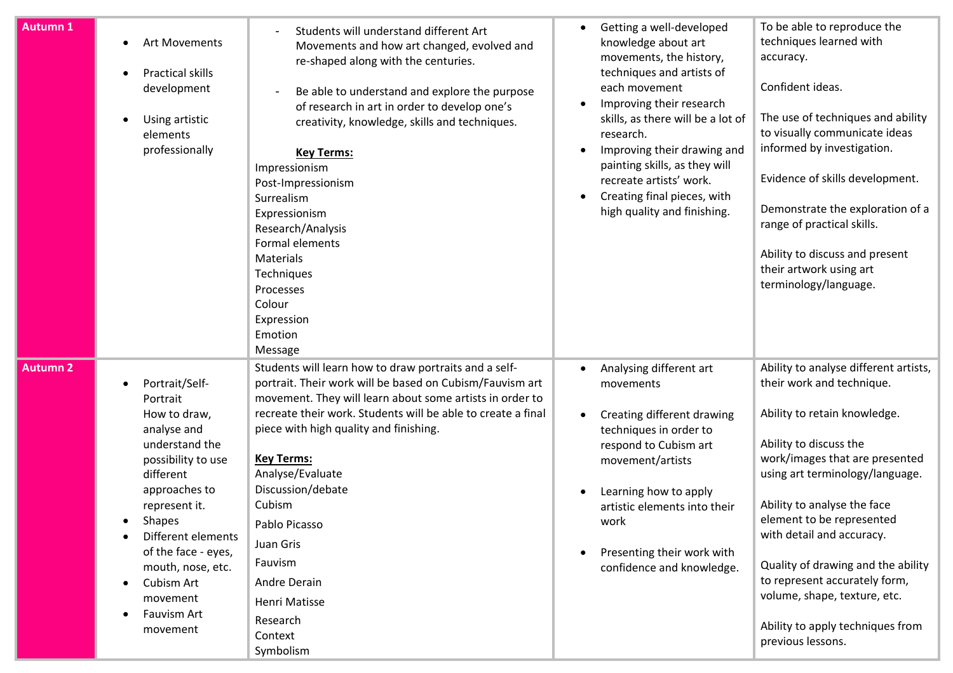| Autumn 1        | Art Movements<br><b>Practical skills</b><br>development<br>Using artistic<br>elements<br>professionally                                                                                                                                                                                        | Students will understand different Art<br>Movements and how art changed, evolved and<br>re-shaped along with the centuries.<br>Be able to understand and explore the purpose<br>$\overline{\phantom{a}}$<br>of research in art in order to develop one's<br>creativity, knowledge, skills and techniques.<br><b>Key Terms:</b><br>Impressionism<br>Post-Impressionism<br>Surrealism<br>Expressionism<br>Research/Analysis<br>Formal elements<br>Materials<br>Techniques<br>Processes<br>Colour<br>Expression<br>Emotion<br>Message | Getting a well-developed<br>٠<br>knowledge about art<br>movements, the history,<br>techniques and artists of<br>each movement<br>Improving their research<br>$\bullet$<br>skills, as there will be a lot of<br>research.<br>Improving their drawing and<br>$\bullet$<br>painting skills, as they will<br>recreate artists' work.<br>Creating final pieces, with<br>high quality and finishing. | To be able to reproduce the<br>techniques learned with<br>accuracy.<br>Confident ideas.<br>The use of techniques and ability<br>to visually communicate ideas<br>informed by investigation.<br>Evidence of skills development.<br>Demonstrate the exploration of a<br>range of practical skills.<br>Ability to discuss and present<br>their artwork using art<br>terminology/language.                                                                     |
|-----------------|------------------------------------------------------------------------------------------------------------------------------------------------------------------------------------------------------------------------------------------------------------------------------------------------|------------------------------------------------------------------------------------------------------------------------------------------------------------------------------------------------------------------------------------------------------------------------------------------------------------------------------------------------------------------------------------------------------------------------------------------------------------------------------------------------------------------------------------|------------------------------------------------------------------------------------------------------------------------------------------------------------------------------------------------------------------------------------------------------------------------------------------------------------------------------------------------------------------------------------------------|------------------------------------------------------------------------------------------------------------------------------------------------------------------------------------------------------------------------------------------------------------------------------------------------------------------------------------------------------------------------------------------------------------------------------------------------------------|
| <b>Autumn 2</b> | Portrait/Self-<br>$\bullet$<br>Portrait<br>How to draw,<br>analyse and<br>understand the<br>possibility to use<br>different<br>approaches to<br>represent it.<br>Shapes<br>Different elements<br>of the face - eyes,<br>mouth, nose, etc.<br>Cubism Art<br>movement<br>Fauvism Art<br>movement | Students will learn how to draw portraits and a self-<br>portrait. Their work will be based on Cubism/Fauvism art<br>movement. They will learn about some artists in order to<br>recreate their work. Students will be able to create a final<br>piece with high quality and finishing.<br><b>Key Terms:</b><br>Analyse/Evaluate<br>Discussion/debate<br>Cubism<br>Pablo Picasso<br>Juan Gris<br>Fauvism<br>Andre Derain<br>Henri Matisse<br>Research<br>Context<br>Symbolism                                                      | Analysing different art<br>$\bullet$<br>movements<br>Creating different drawing<br>$\bullet$<br>techniques in order to<br>respond to Cubism art<br>movement/artists<br>Learning how to apply<br>$\bullet$<br>artistic elements into their<br>work<br>Presenting their work with<br>$\bullet$<br>confidence and knowledge.                                                                      | Ability to analyse different artists,<br>their work and technique.<br>Ability to retain knowledge.<br>Ability to discuss the<br>work/images that are presented<br>using art terminology/language.<br>Ability to analyse the face<br>element to be represented<br>with detail and accuracy.<br>Quality of drawing and the ability<br>to represent accurately form,<br>volume, shape, texture, etc.<br>Ability to apply techniques from<br>previous lessons. |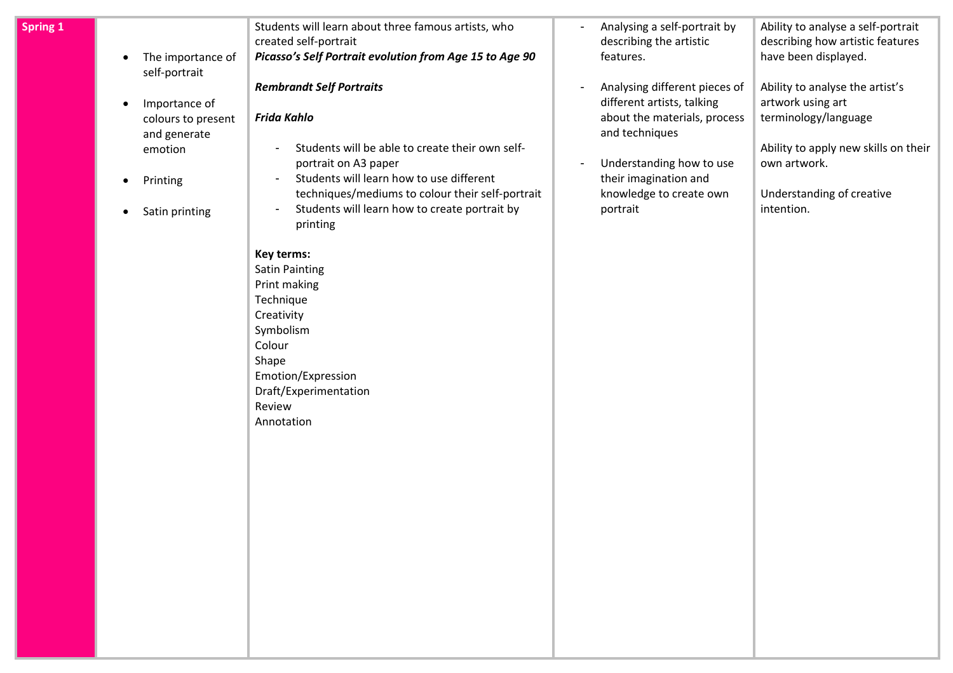| ng 1 | The importance of<br>٠<br>self-portrait<br>Importance of<br>$\bullet$<br>colours to present<br>and generate<br>emotion<br>Printing<br>$\bullet$<br>Satin printing | Students will learn about three famous artists, who<br>created self-portrait<br>Picasso's Self Portrait evolution from Age 15 to Age 90<br><b>Rembrandt Self Portraits</b><br><b>Frida Kahlo</b><br>Students will be able to create their own self-<br>portrait on A3 paper<br>Students will learn how to use different<br>$\overline{\phantom{a}}$<br>techniques/mediums to colour their self-portrait<br>Students will learn how to create portrait by<br>printing<br>Key terms:<br><b>Satin Painting</b><br>Print making<br>Technique<br>Creativity<br>Symbolism<br>Colour<br>Shape<br>Emotion/Expression<br>Draft/Experimentation<br>Review<br>Annotation | $\blacksquare$ | Analysing a self-portrait by<br>describing the artistic<br>features.<br>Analysing different pieces of<br>different artists, talking<br>about the materials, process<br>and techniques<br>Understanding how to use<br>their imagination and<br>knowledge to create own<br>portrait | Ability to analyse a self-portrait<br>describing how artistic features<br>have been displayed.<br>Ability to analyse the artist's<br>artwork using art<br>terminology/language<br>Ability to apply new skills on their<br>own artwork.<br>Understanding of creative<br>intention. |
|------|-------------------------------------------------------------------------------------------------------------------------------------------------------------------|---------------------------------------------------------------------------------------------------------------------------------------------------------------------------------------------------------------------------------------------------------------------------------------------------------------------------------------------------------------------------------------------------------------------------------------------------------------------------------------------------------------------------------------------------------------------------------------------------------------------------------------------------------------|----------------|-----------------------------------------------------------------------------------------------------------------------------------------------------------------------------------------------------------------------------------------------------------------------------------|-----------------------------------------------------------------------------------------------------------------------------------------------------------------------------------------------------------------------------------------------------------------------------------|
|      |                                                                                                                                                                   |                                                                                                                                                                                                                                                                                                                                                                                                                                                                                                                                                                                                                                                               |                |                                                                                                                                                                                                                                                                                   |                                                                                                                                                                                                                                                                                   |

**Spring 1**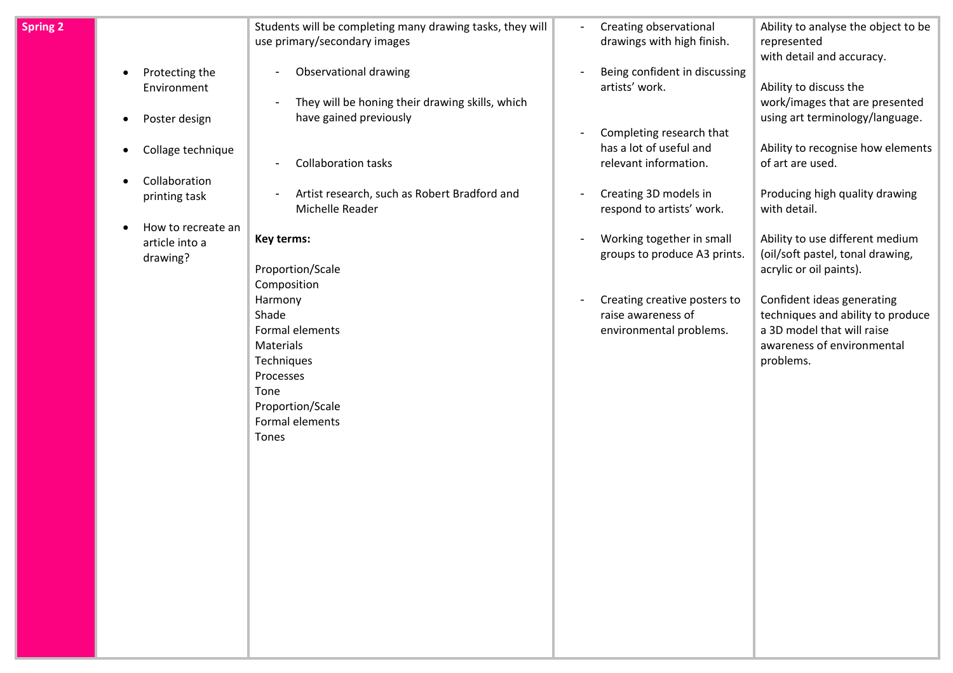| ring 2 | Protecting the<br>$\bullet$<br>Environment<br>Poster design<br>$\bullet$<br>Collage technique<br>$\bullet$<br>Collaboration<br>$\bullet$<br>printing task<br>How to recreate an<br>article into a<br>drawing? | Students will be completing many drawing tasks, they will<br>use primary/secondary images<br>Observational drawing<br>They will be honing their drawing skills, which<br>have gained previously<br><b>Collaboration tasks</b><br>Artist research, such as Robert Bradford and<br>Michelle Reader<br>Key terms:<br>Proportion/Scale<br>Composition<br>Harmony<br>Shade<br>Formal elements<br>Materials<br>Techniques<br>Processes<br>Tone<br>Proportion/Scale<br>Formal elements<br>Tones | Creating observational<br>drawings with high finish.<br>Being confident in discussing<br>artists' work.<br>Completing research that<br>has a lot of useful and<br>relevant information.<br>Creating 3D models in<br>respond to artists' work.<br>Working together in small<br>groups to produce A3 prints.<br>Creating creative posters to<br>raise awareness of<br>environmental problems. | Ability to analyse the object to be<br>represented<br>with detail and accuracy.<br>Ability to discuss the<br>work/images that are presented<br>using art terminology/language.<br>Ability to recognise how elements<br>of art are used.<br>Producing high quality drawing<br>with detail.<br>Ability to use different medium<br>(oil/soft pastel, tonal drawing,<br>acrylic or oil paints).<br>Confident ideas generating<br>techniques and ability to produce<br>a 3D model that will raise<br>awareness of environmental<br>problems. |
|--------|---------------------------------------------------------------------------------------------------------------------------------------------------------------------------------------------------------------|------------------------------------------------------------------------------------------------------------------------------------------------------------------------------------------------------------------------------------------------------------------------------------------------------------------------------------------------------------------------------------------------------------------------------------------------------------------------------------------|---------------------------------------------------------------------------------------------------------------------------------------------------------------------------------------------------------------------------------------------------------------------------------------------------------------------------------------------------------------------------------------------|-----------------------------------------------------------------------------------------------------------------------------------------------------------------------------------------------------------------------------------------------------------------------------------------------------------------------------------------------------------------------------------------------------------------------------------------------------------------------------------------------------------------------------------------|
|        |                                                                                                                                                                                                               |                                                                                                                                                                                                                                                                                                                                                                                                                                                                                          |                                                                                                                                                                                                                                                                                                                                                                                             |                                                                                                                                                                                                                                                                                                                                                                                                                                                                                                                                         |

**Spring 2**